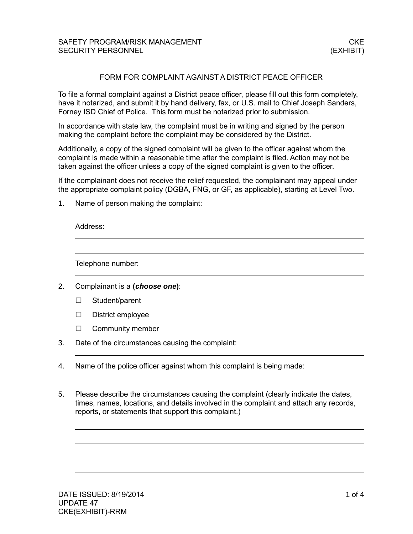## FORM FOR COMPLAINT AGAINST A DISTRICT PEACE OFFICER

To file a formal complaint against a District peace officer, please fill out this form completely, have it notarized, and submit it by hand delivery, fax, or U.S. mail to Chief Joseph Sanders, Forney ISD Chief of Police*.* This form must be notarized prior to submission.

In accordance with state law, the complaint must be in writing and signed by the person making the complaint before the complaint may be considered by the District.

Additionally, a copy of the signed complaint will be given to the officer against whom the complaint is made within a reasonable time after the complaint is filed. Action may not be taken against the officer unless a copy of the signed complaint is given to the officer.

If the complainant does not receive the relief requested, the complainant may appeal under the appropriate complaint policy (DGBA, FNG, or GF, as applicable), starting at Level Two.

1. Name of person making the complaint:

Address:

Telephone number:

- 2. Complainant is a **(***choose one***)**:
	- □ Student/parent
	- $\square$  District employee
	- $\Box$  Community member
- 3. Date of the circumstances causing the complaint:
- 4. Name of the police officer against whom this complaint is being made:
- 5. Please describe the circumstances causing the complaint (clearly indicate the dates, times, names, locations, and details involved in the complaint and attach any records, reports, or statements that support this complaint.)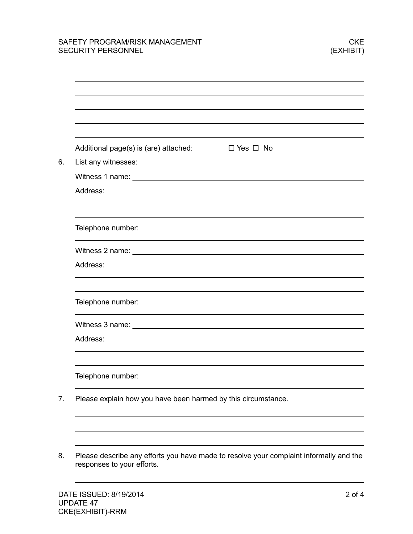| Additional page(s) is (are) attached:<br>$\square$ Yes $\square$ No                                                                                                                                                            |
|--------------------------------------------------------------------------------------------------------------------------------------------------------------------------------------------------------------------------------|
| List any witnesses:                                                                                                                                                                                                            |
|                                                                                                                                                                                                                                |
| Address:                                                                                                                                                                                                                       |
|                                                                                                                                                                                                                                |
| Telephone number:                                                                                                                                                                                                              |
| Witness 2 name: University of the University of the University of the University of the University of the University of the University of the University of the University of the University of the University of the Universi |
| Address:                                                                                                                                                                                                                       |
| Telephone number:                                                                                                                                                                                                              |
| Witness 3 name: University of the University of the University of the University of the University of the University of the University of the University of the University of the University of the University of the Universi |
| Address:                                                                                                                                                                                                                       |
| Telephone number:                                                                                                                                                                                                              |

8. Please describe any efforts you have made to resolve your complaint informally and the responses to your efforts.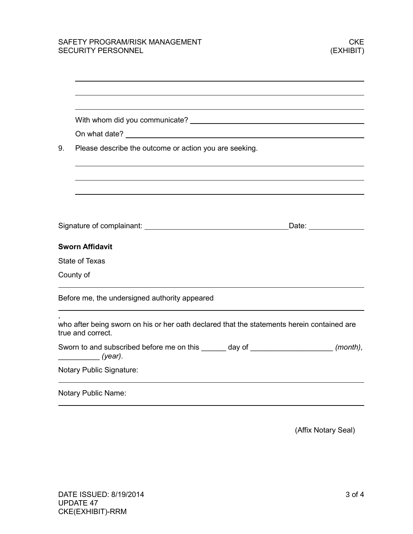|                            | On what date? <u>And a series are alleged</u> and a series of the series and a series of the series of the series of the                                                                                                       |  |
|----------------------------|--------------------------------------------------------------------------------------------------------------------------------------------------------------------------------------------------------------------------------|--|
| 9.                         | Please describe the outcome or action you are seeking.                                                                                                                                                                         |  |
|                            |                                                                                                                                                                                                                                |  |
|                            |                                                                                                                                                                                                                                |  |
|                            |                                                                                                                                                                                                                                |  |
|                            | Date: the contract of the contract of the contract of the contract of the contract of the contract of the contract of the contract of the contract of the contract of the contract of the contract of the contract of the cont |  |
|                            | <b>Sworn Affidavit</b>                                                                                                                                                                                                         |  |
|                            | <b>State of Texas</b>                                                                                                                                                                                                          |  |
|                            | County of                                                                                                                                                                                                                      |  |
|                            | Before me, the undersigned authority appeared                                                                                                                                                                                  |  |
|                            | who after being sworn on his or her oath declared that the statements herein contained are<br>true and correct.                                                                                                                |  |
|                            | Sworn to and subscribed before me on this ______ day of ______________________ (month),<br>$year)$ .                                                                                                                           |  |
|                            | <b>Notary Public Signature:</b>                                                                                                                                                                                                |  |
| <b>Notary Public Name:</b> |                                                                                                                                                                                                                                |  |

(Affix Notary Seal)